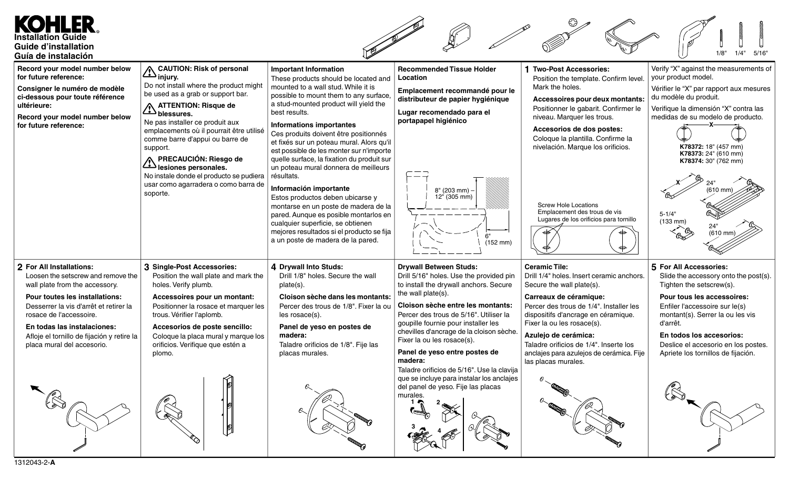## KOHLER **Installation Guide Guide d'installation** 1/8" 1/4" 5/16" **Guía de instalación** Verify "X" against the measurements of **Record your model number below CAUTION: Risk of personal Important Information Recommended Tissue Holder 1 Two-Post Accessories:** your product model. **for future reference: injury.** These products should be located and **Location** Position the template. Confirm level. Do not install where the product might mounted to a wall stud. While it is Mark the holes. **Consigner le numéro de modèle** Vérifier le "X" par rapport aux mesures **Emplacement recommandé pour le** be used as a grab or support bar. possible to mount them to any surface, **ci-dessous pour toute référence** du modèle du produit. **distributeur de papier hygiénique Accessoires pour deux montants:** a stud-mounted product will yield the **ultérieure: ATTENTION: Risque de** Positionner le gabarit. Confirmer le Verifique la dimensión "X" contra las best results. **Lugar recomendado para el blessures. Record your model number below** niveau. Marquer les trous. medidas de su modelo de producto. **portapapel higiénico** Ne pas installer ce produit aux **for future reference: Informations importantes X** emplacements où il pourrait être utilisé **Accesorios de dos postes:** Ces produits doivent être positionnés Coloque la plantilla. Confirme la comme barre d'appui ou barre de et fixés sur un poteau mural. Alors qu'il nivelación. Marque los orificios. **K78372:** 18" (457 mm) support. est possible de les monter sur n'importe **K78373:** 24" (610 mm) quelle surface, la fixation du produit sur **PRECAUCIÓN: Riesgo de K78374:** 30" (762 mm) un poteau mural donnera de meilleurs **lesiones personales.** No instale donde el producto se pudiera résultats. **X** 24" usar como agarradera o como barra de **Información importante** 8" (203 mm) – (610 mm) soporte. Estos productos deben ubicarse y 12" (305 mm) Screw Hole Locations montarse en un poste de madera de la Emplacement des trous de vis pared. Aunque es posible montarlos en  $5 - 1/4"$ Lugares de los orificios para tornillo (133 mm) cualquier superficie, se obtienen 24" mejores resultados si el producto se fija (610 mm) 6" a un poste de madera de la pared. (152 mm) **2 For All Installations: 3 Single-Post Accessories: 4 Drywall Into Studs: Drywall Between Studs: Ceramic Tile: 5 For All Accessories:** Loosen the setscrew and remove the Position the wall plate and mark the Drill 1/8" holes. Secure the wall Drill 5/16" holes. Use the provided pin Drill 1/4" holes. Insert ceramic anchors. Slide the accessory onto the post(s). wall plate from the accessory. holes. Verify plumb. plate(s). to install the drywall anchors. Secure Secure the wall plate(s). Tighten the setscrew(s). the wall plate(s). **Pour toutes les installations: Cloison sèche dans les montants: Carreaux de céramique: Pour tous les accessoires: Accessoires pour un montant: Cloison sèche entre les montants:** Desserrer la vis d'arrêt et retirer la Positionner la rosace et marquer les Percer des trous de 1/8". Fixer la ou Percer des trous de 1/4". Installer les Enfiler l'accessoire sur le(s) rosace de l'accessoire. trous. Vérifier l'aplomb. les rosace(s). Percer des trous de 5/16". Utiliser la dispositifs d'ancrage en céramique. montant(s). Serrer la ou les vis Fixer la ou les rosace(s). d'arrêt. goupille fournie pour installer les **En todas las instalaciones: Accesorios de poste sencillo: Panel de yeso en postes de** chevilles d'ancrage de la cloison sèche. **Azulejo de cerámica: En todos los accesorios:** Afloje el tornillo de fijación y retire la Coloque la placa mural y marque los **madera:** Fixer la ou les rosace(s). placa mural del accesorio. orificios. Verifique que estén a Taladre orificios de 1/8". Fije las Taladre orificios de 1/4". Inserte los Deslice el accesorio en los postes. **Panel de yeso entre postes de** plomo. placas murales. anclajes para azulejos de cerámica. Fije Apriete los tornillos de fijación. **madera:** las placas murales. Taladre orificios de 5/16". Use la clavija que se incluye para instalar los anclajes del panel de yeso. Fije las placas murales. **1 2**

 $\frac{3}{4}$   $\frac{4}{4}$